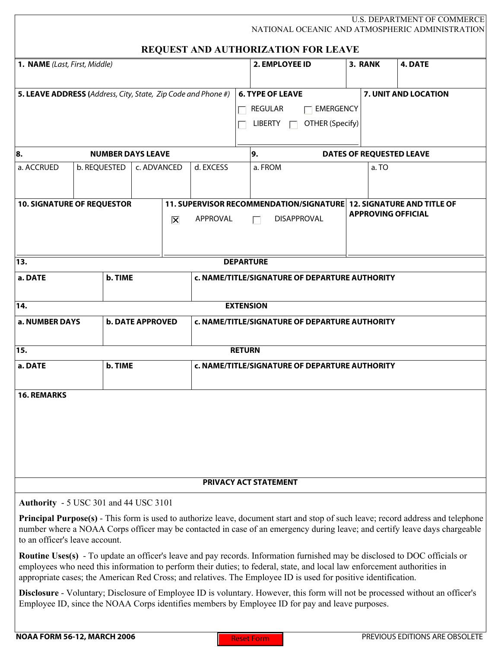| U.S. DEPARTMENT OF COMMERCE<br>NATIONAL OCEANIC AND ATMOSPHERIC ADMINISTRATION<br>REQUEST AND AUTHORIZATION FOR LEAVE                |                             |                         |  |                           |                                                                    |                |                                                                                                                                                                                                                                                                                                                                                                                 |         |                           |                                                                                                                                                                                                                                                                       |  |
|--------------------------------------------------------------------------------------------------------------------------------------|-----------------------------|-------------------------|--|---------------------------|--------------------------------------------------------------------|----------------|---------------------------------------------------------------------------------------------------------------------------------------------------------------------------------------------------------------------------------------------------------------------------------------------------------------------------------------------------------------------------------|---------|---------------------------|-----------------------------------------------------------------------------------------------------------------------------------------------------------------------------------------------------------------------------------------------------------------------|--|
| 1. NAME (Last, First, Middle)                                                                                                        |                             |                         |  |                           |                                                                    | 2. EMPLOYEE ID |                                                                                                                                                                                                                                                                                                                                                                                 | 3. RANK | 4. DATE                   |                                                                                                                                                                                                                                                                       |  |
|                                                                                                                                      |                             |                         |  |                           |                                                                    |                |                                                                                                                                                                                                                                                                                                                                                                                 |         |                           |                                                                                                                                                                                                                                                                       |  |
| 5. LEAVE ADDRESS (Address, City, State, Zip Code and Phone #)                                                                        |                             |                         |  |                           |                                                                    |                | <b>6. TYPE OF LEAVE</b>                                                                                                                                                                                                                                                                                                                                                         |         |                           | 7. UNIT AND LOCATION                                                                                                                                                                                                                                                  |  |
|                                                                                                                                      |                             |                         |  |                           |                                                                    |                | <b>REGULAR</b><br><b>EMERGENCY</b>                                                                                                                                                                                                                                                                                                                                              |         |                           |                                                                                                                                                                                                                                                                       |  |
|                                                                                                                                      |                             |                         |  |                           |                                                                    |                | <b>LIBERTY</b><br>OTHER (Specify)                                                                                                                                                                                                                                                                                                                                               |         |                           |                                                                                                                                                                                                                                                                       |  |
| 88.<br><b>NUMBER DAYS LEAVE</b>                                                                                                      |                             |                         |  |                           | 9.                                                                 |                |                                                                                                                                                                                                                                                                                                                                                                                 |         |                           | <b>DATES OF REQUESTED LEAVE</b>                                                                                                                                                                                                                                       |  |
| a. ACCRUED                                                                                                                           | b. REQUESTED<br>c. ADVANCED |                         |  | d. EXCESS                 |                                                                    | a. FROM        |                                                                                                                                                                                                                                                                                                                                                                                 | a.TO    |                           |                                                                                                                                                                                                                                                                       |  |
| <b>10. SIGNATURE OF REQUESTOR</b>                                                                                                    |                             |                         |  |                           | 11. SUPERVISOR RECOMMENDATION/SIGNATURE 12. SIGNATURE AND TITLE OF |                |                                                                                                                                                                                                                                                                                                                                                                                 |         |                           |                                                                                                                                                                                                                                                                       |  |
|                                                                                                                                      |                             |                         |  | $ \overline{\mathsf{x}} $ | <b>APPROVAL</b>                                                    |                | <b>DISAPPROVAL</b>                                                                                                                                                                                                                                                                                                                                                              |         | <b>APPROVING OFFICIAL</b> |                                                                                                                                                                                                                                                                       |  |
|                                                                                                                                      |                             |                         |  |                           |                                                                    |                |                                                                                                                                                                                                                                                                                                                                                                                 |         |                           |                                                                                                                                                                                                                                                                       |  |
| 13.                                                                                                                                  |                             |                         |  |                           |                                                                    |                | <b>DEPARTURE</b>                                                                                                                                                                                                                                                                                                                                                                |         |                           |                                                                                                                                                                                                                                                                       |  |
| a. DATE                                                                                                                              |                             | b. TIME                 |  |                           | c. NAME/TITLE/SIGNATURE OF DEPARTURE AUTHORITY                     |                |                                                                                                                                                                                                                                                                                                                                                                                 |         |                           |                                                                                                                                                                                                                                                                       |  |
| $\overline{14}$<br><b>EXTENSION</b>                                                                                                  |                             |                         |  |                           |                                                                    |                |                                                                                                                                                                                                                                                                                                                                                                                 |         |                           |                                                                                                                                                                                                                                                                       |  |
| a. NUMBER DAYS                                                                                                                       |                             | <b>b. DATE APPROVED</b> |  |                           | c. NAME/TITLE/SIGNATURE OF DEPARTURE AUTHORITY                     |                |                                                                                                                                                                                                                                                                                                                                                                                 |         |                           |                                                                                                                                                                                                                                                                       |  |
| 15.<br><b>RETURN</b>                                                                                                                 |                             |                         |  |                           |                                                                    |                |                                                                                                                                                                                                                                                                                                                                                                                 |         |                           |                                                                                                                                                                                                                                                                       |  |
| a. DATE                                                                                                                              |                             | b. TIME                 |  |                           | c. NAME/TITLE/SIGNATURE OF DEPARTURE AUTHORITY                     |                |                                                                                                                                                                                                                                                                                                                                                                                 |         |                           |                                                                                                                                                                                                                                                                       |  |
| <b>16. REMARKS</b>                                                                                                                   |                             |                         |  |                           |                                                                    |                |                                                                                                                                                                                                                                                                                                                                                                                 |         |                           |                                                                                                                                                                                                                                                                       |  |
| PRIVACY ACT STATEMENT                                                                                                                |                             |                         |  |                           |                                                                    |                |                                                                                                                                                                                                                                                                                                                                                                                 |         |                           |                                                                                                                                                                                                                                                                       |  |
| <b>Authority - 5 USC 301 and 44 USC 3101</b>                                                                                         |                             |                         |  |                           |                                                                    |                |                                                                                                                                                                                                                                                                                                                                                                                 |         |                           |                                                                                                                                                                                                                                                                       |  |
| to an officer's leave account.                                                                                                       |                             |                         |  |                           |                                                                    |                |                                                                                                                                                                                                                                                                                                                                                                                 |         |                           | <b>Principal Purpose(s)</b> - This form is used to authorize leave, document start and stop of such leave; record address and telephone<br>number where a NOAA Corps officer may be contacted in case of an emergency during leave; and certify leave days chargeable |  |
|                                                                                                                                      |                             |                         |  |                           |                                                                    |                | <b>Routine Uses(s)</b> - To update an officer's leave and pay records. Information furnished may be disclosed to DOC officials or<br>employees who need this information to perform their duties; to federal, state, and local law enforcement authorities in<br>appropriate cases; the American Red Cross; and relatives. The Employee ID is used for positive identification. |         |                           |                                                                                                                                                                                                                                                                       |  |
| <b>Disclosure</b> - Voluntary; Disclosure of Employee ID is voluntary. However, this form will not be processed without an officer's |                             |                         |  |                           |                                                                    |                |                                                                                                                                                                                                                                                                                                                                                                                 |         |                           |                                                                                                                                                                                                                                                                       |  |

Employee ID, since the NOAA Corps identifies members by Employee ID for pay and leave purposes.